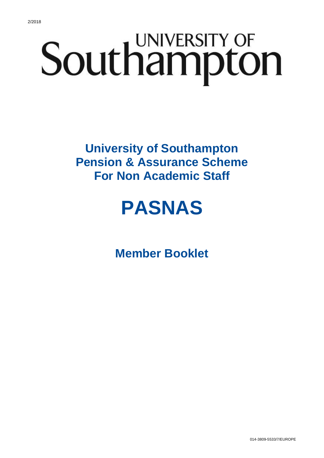# Southampton

**University of Southampton Pension & Assurance Scheme For Non Academic Staff**

# **PASNAS**

**Member Booklet**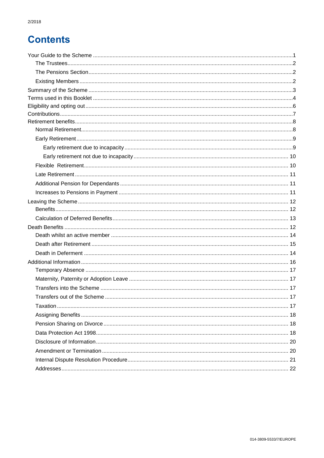# **Contents**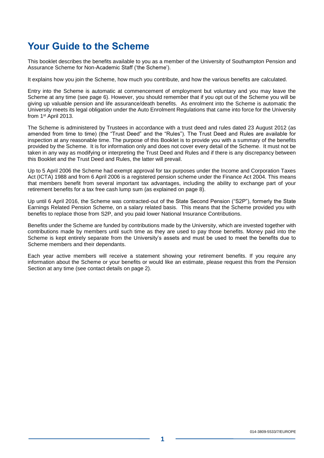### <span id="page-2-0"></span>**Your Guide to the Scheme**

This booklet describes the benefits available to you as a member of the University of Southampton Pension and Assurance Scheme for Non-Academic Staff ('the Scheme').

It explains how you join the Scheme, how much you contribute, and how the various benefits are calculated.

Entry into the Scheme is automatic at commencement of employment but voluntary and you may leave the Scheme at any time (see page 6). However, you should remember that if you opt out of the Scheme you will be giving up valuable pension and life assurance/death benefits. As enrolment into the Scheme is automatic the University meets its legal obligation under the Auto Enrolment Regulations that came into force for the University from 1st April 2013.

The Scheme is administered by Trustees in accordance with a trust deed and rules dated 23 August 2012 (as amended from time to time) (the "Trust Deed" and the "Rules"). The Trust Deed and Rules are available for inspection at any reasonable time. The purpose of this Booklet is to provide you with a summary of the benefits provided by the Scheme. It is for information only and does not cover every detail of the Scheme. It must not be taken in any way as modifying or interpreting the Trust Deed and Rules and if there is any discrepancy between this Booklet and the Trust Deed and Rules, the latter will prevail.

Up to 5 April 2006 the Scheme had exempt approval for tax purposes under the Income and Corporation Taxes Act (ICTA) 1988 and from 6 April 2006 is a registered pension scheme under the Finance Act 2004. This means that members benefit from several important tax advantages, including the ability to exchange part of your retirement benefits for a tax free cash lump sum (as explained on page 8).

Up until 6 April 2016, the Scheme was contracted-out of the State Second Pension ("S2P"), formerly the State Earnings Related Pension Scheme, on a salary related basis. This means that the Scheme provided you with benefits to replace those from S2P, and you paid lower National Insurance Contributions.

Benefits under the Scheme are funded by contributions made by the University, which are invested together with contributions made by members until such time as they are used to pay those benefits. Money paid into the Scheme is kept entirely separate from the University's assets and must be used to meet the benefits due to Scheme members and their dependants.

Each year active members will receive a statement showing your retirement benefits. If you require any information about the Scheme or your benefits or would like an estimate, please request this from the Pension Section at any time (see contact details on page 2).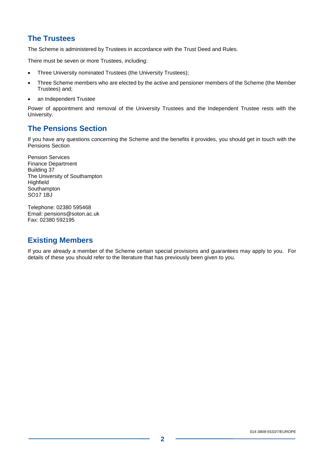#### <span id="page-3-0"></span>**The Trustees**

The Scheme is administered by Trustees in accordance with the Trust Deed and Rules.

There must be seven or more Trustees, including:

- Three University nominated Trustees (the University Trustees);
- Three Scheme members who are elected by the active and pensioner members of the Scheme (the Member Trustees) and;
- an Independent Trustee

Power of appointment and removal of the University Trustees and the Independent Trustee rests with the University.

#### <span id="page-3-1"></span>**The Pensions Section**

If you have any questions concerning the Scheme and the benefits it provides, you should get in touch with the Pensions Section

Pension Services Finance Department Building 37 The University of Southampton **Highfield Southampton** SO17 1BJ

Telephone: 02380 595468 Email: pensions@soton.ac.uk Fax: 02380 592195

#### **Existing Members**

If you are already a member of the Scheme certain special provisions and guarantees may apply to you. For details of these you should refer to the literature that has previously been given to you.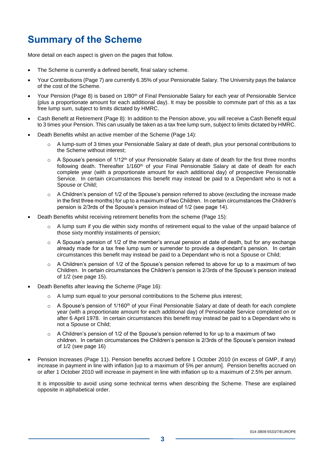# <span id="page-4-0"></span>**Summary of the Scheme**

More detail on each aspect is given on the pages that follow.

- The Scheme is currently a defined benefit, final salary scheme.
- Your Contributions (Page [7\)](#page-8-0) are currently 6.35% of your Pensionable Salary. The University pays the balance of the cost of the Scheme.
- Your Pension (Page [8\)](#page-9-0) is based on 1/80<sup>th</sup> of Final Pensionable Salary for each year of Pensionable Service (plus a proportionate amount for each additional day). It may be possible to commute part of this as a tax free lump sum, subject to limits dictated by HMRC.
- Cash Benefit at Retirement (Page [8\)](#page-9-0): In addition to the Pension above, you will receive a Cash Benefit equal to 3 times your Pension. This can usually be taken as a tax free lump sum, subject to limits dictated by HMRC.
- Death Benefits whilst an active member of the Scheme (Page 14):
	- o A lump-sum of 3 times your Pensionable Salary at date of death, plus your personal contributions to the Scheme without interest;
	- $\circ$  A Spouse's pension of 1/12<sup>th</sup> of your Pensionable Salary at date of death for the first three months following death. Thereafter 1/160<sup>th</sup> of your Final Pensionable Salary at date of death for each complete year (with a proportionate amount for each additional day) of prospective Pensionable Service. In certain circumstances this benefit may instead be paid to a Dependant who is not a Spouse or Child;
	- $\circ$  A Children's pension of 1/2 of the Spouse's pension referred to above (excluding the increase made in the first three months) for up to a maximum of two Children. In certain circumstances the Children's pension is 2/3rds of the Spouse's pension instead of 1/2 (see page 14).
- Death Benefits whilst receiving retirement benefits from the scheme (Page [15\)](#page-16-1):
	- $\circ$  A lump sum if you die within sixty months of retirement equal to the value of the unpaid balance of those sixty monthly instalments of pension;
	- o A Spouse's pension of 1/2 of the member's annual pension at date of death, but for any exchange already made for a tax free lump sum or surrender to provide a dependant's pension. In certain circumstances this benefit may instead be paid to a Dependant who is not a Spouse or Child;
	- $\circ$  A Children's pension of 1/2 of the Spouse's pension referred to above for up to a maximum of two Children. In certain circumstances the Children's pension is 2/3rds of the Spouse's pension instead of 1/2 (see page 15).
- Death Benefits after leaving the Scheme (Page 16):
	- $\circ$  A lump sum equal to your personal contributions to the Scheme plus interest;
	- $\circ$  A Spouse's pension of 1/160<sup>th</sup> of your Final Pensionable Salary at date of death for each complete year (with a proportionate amount for each additional day) of Pensionable Service completed on or after 6 April 1978. In certain circumstances this benefit may instead be paid to a Dependant who is not a Spouse or Child;
	- o A Children's pension of 1/2 of the Spouse's pension referred to for up to a maximum of two children. In certain circumstances the Children's pension is 2/3rds of the Spouse's pension instead of 1/2 (see page 16)
- Pension Increases (Page [11\)](#page-12-0). Pension benefits accrued before 1 October 2010 (in excess of GMP, if any) increase in payment in line with inflation [up to a maximum of 5% per annum]. Pension benefits accrued on or after 1 October 2010 will increase in payment in line with inflation up to a maximum of 2.5% per annum.

It is impossible to avoid using some technical terms when describing the Scheme. These are explained opposite in alphabetical order.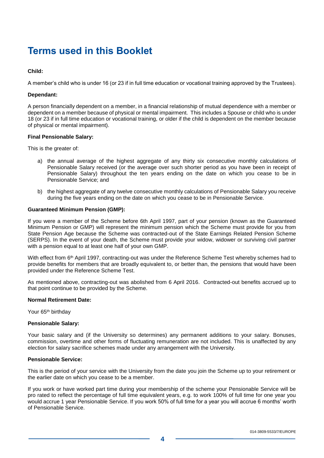## <span id="page-5-0"></span>**Terms used in this Booklet**

#### **Child:**

A member's child who is under 16 (or 23 if in full time education or vocational training approved by the Trustees).

#### **Dependant:**

A person financially dependent on a member, in a financial relationship of mutual dependence with a member or dependent on a member because of physical or mental impairment. This includes a Spouse or child who is under 18 (or 23 if in full time education or vocational training, or older if the child is dependent on the member because of physical or mental impairment).

#### **Final Pensionable Salary:**

This is the greater of:

- a) the annual average of the highest aggregate of any thirty six consecutive monthly calculations of Pensionable Salary received (or the average over such shorter period as you have been in receipt of Pensionable Salary) throughout the ten years ending on the date on which you cease to be in Pensionable Service; and
- b) the highest aggregate of any twelve consecutive monthly calculations of Pensionable Salary you receive during the five years ending on the date on which you cease to be in Pensionable Service.

#### **Guaranteed Minimum Pension (GMP):**

If you were a member of the Scheme before 6th April 1997, part of your pension (known as the Guaranteed Minimum Pension or GMP) will represent the minimum pension which the Scheme must provide for you from State Pension Age because the Scheme was contracted-out of the State Earnings Related Pension Scheme (SERPS). In the event of your death, the Scheme must provide your widow, widower or surviving civil partner with a pension equal to at least one half of your own GMP.

With effect from 6<sup>th</sup> April 1997, contracting-out was under the Reference Scheme Test whereby schemes had to provide benefits for members that are broadly equivalent to, or better than, the pensions that would have been provided under the Reference Scheme Test.

As mentioned above, contracting-out was abolished from 6 April 2016. Contracted-out benefits accrued up to that point continue to be provided by the Scheme.

#### **Normal Retirement Date:**

Your 65<sup>th</sup> birthday

#### **Pensionable Salary:**

Your basic salary and (if the University so determines) any permanent additions to your salary. Bonuses, commission, overtime and other forms of fluctuating remuneration are not included. This is unaffected by any election for salary sacrifice schemes made under any arrangement with the University.

#### **Pensionable Service:**

This is the period of your service with the University from the date you join the Scheme up to your retirement or the earlier date on which you cease to be a member.

If you work or have worked part time during your membership of the scheme your Pensionable Service will be pro rated to reflect the percentage of full time equivalent years, e.g. to work 100% of full time for one year you would accrue 1 year Pensionable Service. If you work 50% of full time for a year you will accrue 6 months' worth of Pensionable Service.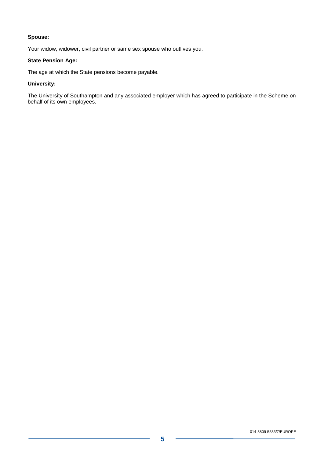#### **Spouse:**

Your widow, widower, civil partner or same sex spouse who outlives you.

#### **State Pension Age:**

The age at which the State pensions become payable.

#### **University:**

The University of Southampton and any associated employer which has agreed to participate in the Scheme on behalf of its own employees.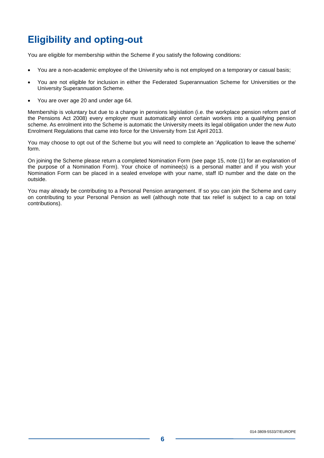# <span id="page-7-0"></span>**Eligibility and opting-out**

You are eligible for membership within the Scheme if you satisfy the following conditions:

- You are a non-academic employee of the University who is not employed on a temporary or casual basis;
- You are not eligible for inclusion in either the Federated Superannuation Scheme for Universities or the University Superannuation Scheme.
- You are over age 20 and under age 64.

Membership is voluntary but due to a change in pensions legislation (i.e. the workplace pension reform part of the Pensions Act 2008) every employer must automatically enrol certain workers into a qualifying pension scheme. As enrolment into the Scheme is automatic the University meets its legal obligation under the new Auto Enrolment Regulations that came into force for the University from 1st April 2013.

You may choose to opt out of the Scheme but you will need to complete an 'Application to leave the scheme' form.

On joining the Scheme please return a completed Nomination Form (see page [15,](#page-16-1) note (1) for an explanation of the purpose of a Nomination Form). Your choice of nominee(s) is a personal matter and if you wish your Nomination Form can be placed in a sealed envelope with your name, staff ID number and the date on the outside.

You may already be contributing to a Personal Pension arrangement. If so you can join the Scheme and carry on contributing to your Personal Pension as well (although note that tax relief is subject to a cap on total contributions).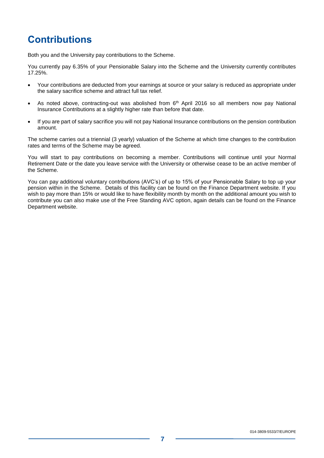# <span id="page-8-0"></span>**Contributions**

Both you and the University pay contributions to the Scheme.

You currently pay 6.35% of your Pensionable Salary into the Scheme and the University currently contributes 17.25%.

- Your contributions are deducted from your earnings at source or your salary is reduced as appropriate under the salary sacrifice scheme and attract full tax relief.
- As noted above, contracting-out was abolished from 6<sup>th</sup> April 2016 so all members now pay National Insurance Contributions at a slightly higher rate than before that date.
- If you are part of salary sacrifice you will not pay National Insurance contributions on the pension contribution amount.

The scheme carries out a triennial (3 yearly) valuation of the Scheme at which time changes to the contribution rates and terms of the Scheme may be agreed.

You will start to pay contributions on becoming a member. Contributions will continue until your Normal Retirement Date or the date you leave service with the University or otherwise cease to be an active member of the Scheme.

You can pay additional voluntary contributions (AVC's) of up to 15% of your Pensionable Salary to top up your pension within in the Scheme. Details of this facility can be found on the Finance Department website. If you wish to pay more than 15% or would like to have flexibility month by month on the additional amount you wish to contribute you can also make use of the Free Standing AVC option, again details can be found on the Finance Department website.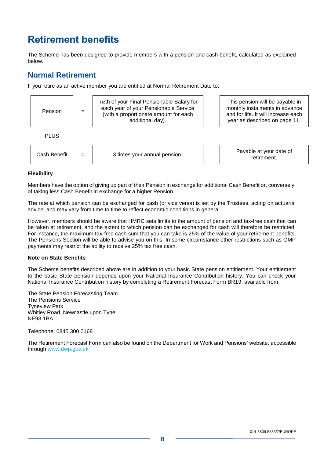# <span id="page-9-0"></span>**Retirement benefits**

The Scheme has been designed to provide members with a pension and cash benefit, calculated as explained below.

#### <span id="page-9-1"></span>**Normal Retirement**

If you retire as an active member you are entitled at Normal Retirement Date to:



#### **Flexibility**

Members have the option of giving up part of their Pension in exchange for additional Cash Benefit or, conversely, of taking less Cash Benefit in exchange for a higher Pension.

The rate at which pension can be exchanged for cash (or vice versa) is set by the Trustees, acting on actuarial advice, and may vary from time to time to reflect economic conditions in general.

However, members should be aware that HMRC sets limits to the amount of pension and tax-free cash that can be taken at retirement, and the extent to which pension can be exchanged for cash will therefore be restricted. For instance, the maximum tax-free cash sum that you can take is 25% of the value of your retirement benefits. The Pensions Section will be able to advise you on this. In some circumstance other restrictions such as GMP payments may restrict the ability to receive 25% tax free cash.

#### **Note on State Benefits**

The Scheme benefits described above are in addition to your basic State pension entitlement. Your entitlement to the basic State pension depends upon your National Insurance Contribution history. You can check your National Insurance Contribution history by completing a Retirement Forecast Form BR19, available from:

The State Pension Forecasting Team The Pensions Service Tyneview Park Whitley Road, Newcastle upon Tyne NE98 1BA

Telephone: 0845 300 0168

The Retirement Forecast Form can also be found on the Department for Work and Pensions' website, accessible through [www.dwp.gov.uk](http://www.dwp.gov.uk/)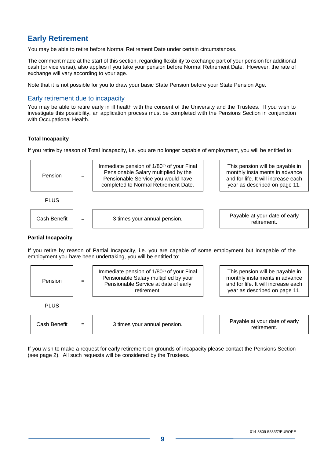#### <span id="page-10-0"></span>**Early Retirement**

You may be able to retire before Normal Retirement Date under certain circumstances.

The comment made at the start of this section, regarding flexibility to exchange part of your pension for additional cash (or vice versa), also applies if you take your pension before Normal Retirement Date. However, the rate of exchange will vary according to your age.

Note that it is not possible for you to draw your basic State Pension before your State Pension Age.

#### <span id="page-10-1"></span>Early retirement due to incapacity

You may be able to retire early in ill health with the consent of the University and the Trustees. If you wish to investigate this possibility, an application process must be completed with the Pensions Section in conjunction with Occupational Health.

#### **Total Incapacity**

If you retire by reason of Total Incapacity, i.e. you are no longer capable of employment, you will be entitled to:



#### **Partial Incapacity**

If you retire by reason of Partial Incapacity, i.e. you are capable of some employment but incapable of the employment you have been undertaking, you will be entitled to:



If you wish to make a request for early retirement on grounds of incapacity please contact the Pensions Section (see page [2\)](#page-3-1). All such requests will be considered by the Trustees.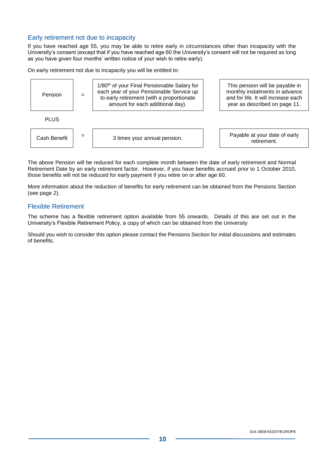#### <span id="page-11-0"></span>Early retirement not due to incapacity

If you have reached age 55, you may be able to retire early in circumstances other than incapacity with the University's consent (except that if you have reached age 60 the University's consent will not be required as long as you have given four months' written notice of your wish to retire early).

On early retirement not due to incapacity you will be entitled to:



The above Pension will be reduced for each complete month between the date of early retirement and Normal Retirement Date by an early retirement factor. However, if you have benefits accrued prior to 1 October 2010, those benefits will not be reduced for early payment if you retire on or after age 60.

More information about the reduction of benefits for early retirement can be obtained from the Pensions Section (see page [2\)](#page-3-1).

#### Flexible Retirement

The scheme has a flexible retirement option available from 55 onwards. Details of this are set out in the University's Flexible Retirement Policy, a copy of which can be obtained from the University

Should you wish to consider this option please contact the Pensions Section for initial discussions and estimates of benefits.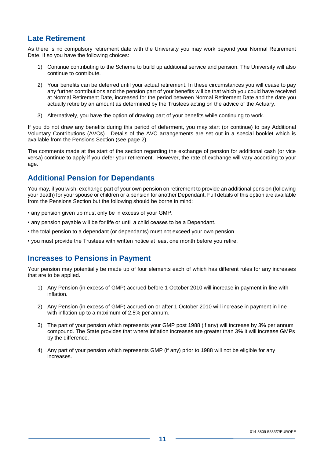#### <span id="page-12-0"></span>**Late Retirement**

As there is no compulsory retirement date with the University you may work beyond your Normal Retirement Date. If so you have the following choices:

- 1) Continue contributing to the Scheme to build up additional service and pension. The University will also continue to contribute.
- 2) Your benefits can be deferred until your actual retirement. In these circumstances you will cease to pay any further contributions and the pension part of your benefits will be that which you could have received at Normal Retirement Date, increased for the period between Normal Retirement Date and the date you actually retire by an amount as determined by the Trustees acting on the advice of the Actuary.
- 3) Alternatively, you have the option of drawing part of your benefits while continuing to work.

If you do not draw any benefits during this period of deferment, you may start (or continue) to pay Additional Voluntary Contributions (AVCs). Details of the AVC arrangements are set out in a special booklet which is available from the Pensions Section (see page [2\)](#page-3-1).

The comments made at the start of the section regarding the exchange of pension for additional cash (or vice versa) continue to apply if you defer your retirement. However, the rate of exchange will vary according to your age.

#### <span id="page-12-1"></span>**Additional Pension for Dependants**

You may, if you wish, exchange part of your own pension on retirement to provide an additional pension (following your death) for your spouse or children or a pension for another Dependant. Full details of this option are available from the Pensions Section but the following should be borne in mind:

- any pension given up must only be in excess of your GMP.
- any pension payable will be for life or until a child ceases to be a Dependant.
- the total pension to a dependant (or dependants) must not exceed your own pension.
- you must provide the Trustees with written notice at least one month before you retire.

#### <span id="page-12-2"></span>**Increases to Pensions in Payment**

Your pension may potentially be made up of four elements each of which has different rules for any increases that are to be applied.

- 1) Any Pension (in excess of GMP) accrued before 1 October 2010 will increase in payment in line with inflation.
- 2) Any Pension (in excess of GMP) accrued on or after 1 October 2010 will increase in payment in line with inflation up to a maximum of 2.5% per annum.
- 3) The part of your pension which represents your GMP post 1988 (if any) will increase by 3% per annum compound. The State provides that where inflation increases are greater than 3% it will increase GMPs by the difference.
- 4) Any part of your pension which represents GMP (if any) prior to 1988 will not be eligible for any increases.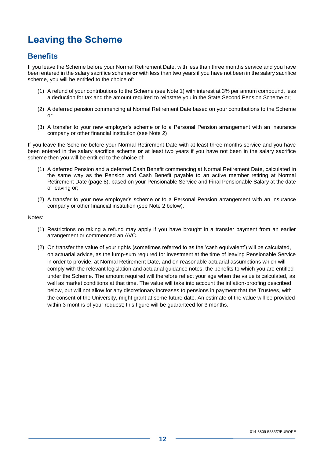# <span id="page-13-0"></span>**Leaving the Scheme**

#### **Benefits**

If you leave the Scheme before your Normal Retirement Date, with less than three months service and you have been entered in the salary sacrifice scheme **or** with less than two years if you have not been in the salary sacrifice scheme, you will be entitled to the choice of:

- (1) A refund of your contributions to the Scheme (see Note 1) with interest at 3% per annum compound, less a deduction for tax and the amount required to reinstate you in the State Second Pension Scheme or;
- (2) A deferred pension commencing at Normal Retirement Date based on your contributions to the Scheme or;
- (3) A transfer to your new employer's scheme or to a Personal Pension arrangement with an insurance company or other financial institution (see Note 2)

If you leave the Scheme before your Normal Retirement Date with at least three months service and you have been entered in the salary sacrifice scheme **or** at least two years if you have not been in the salary sacrifice scheme then you will be entitled to the choice of:

- (1) A deferred Pension and a deferred Cash Benefit commencing at Normal Retirement Date, calculated in the same way as the Pension and Cash Benefit payable to an active member retiring at Normal Retirement Date (page 8), based on your Pensionable Service and Final Pensionable Salary at the date of leaving or;
- (2) A transfer to your new employer's scheme or to a Personal Pension arrangement with an insurance company or other financial institution (see Note 2 below).

#### Notes:

- (1) Restrictions on taking a refund may apply if you have brought in a transfer payment from an earlier arrangement or commenced an AVC.
- (2) On transfer the value of your rights (sometimes referred to as the 'cash equivalent') will be calculated, on actuarial advice, as the lump-sum required for investment at the time of leaving Pensionable Service in order to provide, at Normal Retirement Date, and on reasonable actuarial assumptions which will comply with the relevant legislation and actuarial guidance notes, the benefits to which you are entitled under the Scheme. The amount required will therefore reflect your age when the value is calculated, as well as market conditions at that time. The value will take into account the inflation-proofing described below, but will not allow for any discretionary increases to pensions in payment that the Trustees, with the consent of the University, might grant at some future date. An estimate of the value will be provided within 3 months of your request; this figure will be guaranteed for 3 months.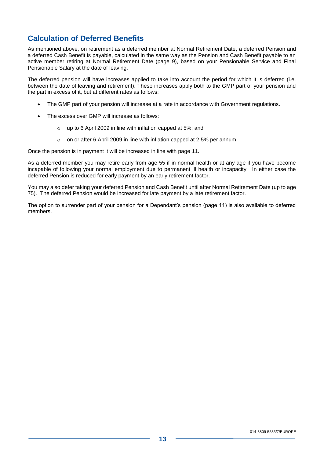#### **Calculation of Deferred Benefits**

As mentioned above, on retirement as a deferred member at Normal Retirement Date, a deferred Pension and a deferred Cash Benefit is payable, calculated in the same way as the Pension and Cash Benefit payable to an active member retiring at Normal Retirement Date (page 9), based on your Pensionable Service and Final Pensionable Salary at the date of leaving.

The deferred pension will have increases applied to take into account the period for which it is deferred (i.e. between the date of leaving and retirement). These increases apply both to the GMP part of your pension and the part in excess of it, but at different rates as follows:

- The GMP part of your pension will increase at a rate in accordance with Government regulations.
- The excess over GMP will increase as follows:
	- o up to 6 April 2009 in line with inflation capped at 5%; and
	- o on or after 6 April 2009 in line with inflation capped at 2.5% per annum.

Once the pension is in payment it will be increased in line with page 11.

As a deferred member you may retire early from age 55 if in normal health or at any age if you have become incapable of following your normal employment due to permanent ill health or incapacity. In either case the deferred Pension is reduced for early payment by an early retirement factor.

You may also defer taking your deferred Pension and Cash Benefit until after Normal Retirement Date (up to age 75). The deferred Pension would be increased for late payment by a late retirement factor.

The option to surrender part of your pension for a Dependant's pension (page 11) is also available to deferred members.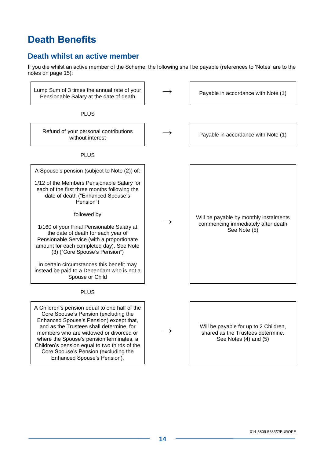# **Death Benefits**

#### <span id="page-15-0"></span>**Death whilst an active member**

If you die whilst an active member of the Scheme, the following shall be payable (references to 'Notes' are to the notes on page 15):

<span id="page-15-1"></span>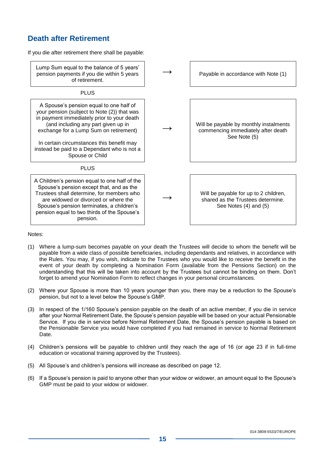#### <span id="page-16-1"></span>**Death after Retirement**

If you die after retirement there shall be payable:



#### Notes:

- (1) Where a lump-sum becomes payable on your death the Trustees will decide to whom the benefit will be payable from a wide class of possible beneficiaries, including dependants and relatives, in accordance with the Rules. You may, if you wish, indicate to the Trustees who you would like to receive the benefit in the event of your death by completing a Nomination Form (available from the Pensions Section) on the understanding that this will be taken into account by the Trustees but cannot be binding on them. Don't forget to amend your Nomination Form to reflect changes in your personal circumstances.
- (2) Where your Spouse is more than 10 years younger than you, there may be a reduction to the Spouse's pension, but not to a level below the Spouse's GMP.
- (3) In respect of the 1/160 Spouse's pension payable on the death of an active member, if you die in service after your Normal Retirement Date, the Spouse's pension payable will be based on your actual Pensionable Service. If you die in service before Normal Retirement Date, the Spouse's pension payable is based on the Pensionable Service you would have completed if you had remained in service to Normal Retirement Date.
- (4) Children's pensions will be payable to children until they reach the age of 16 (or age 23 if in full-time education or vocational training approved by the Trustees).
- (5) All Spouse's and children's pensions will increase as described on page 12.
- <span id="page-16-0"></span>(6) If a Spouse's pension is paid to anyone other than your widow or widower, an amount equal to the Spouse's GMP must be paid to your widow or widower.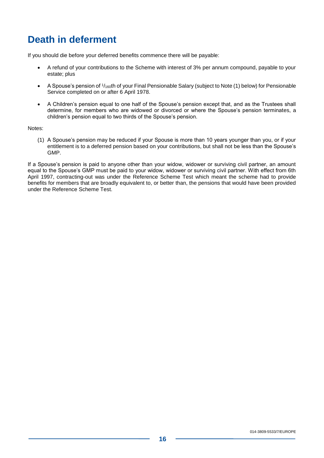# **Death in deferment**

If you should die before your deferred benefits commence there will be payable:

- A refund of your contributions to the Scheme with interest of 3% per annum compound, payable to your estate; plus
- A Spouse's pension of  $1/160$ th of your Final Pensionable Salary (subject to Note (1) below) for Pensionable Service completed on or after 6 April 1978.
- A Children's pension equal to one half of the Spouse's pension except that, and as the Trustees shall determine, for members who are widowed or divorced or where the Spouse's pension terminates, a children's pension equal to two thirds of the Spouse's pension.

Notes:

(1) A Spouse's pension may be reduced if your Spouse is more than 10 years younger than you, or if your entitlement is to a deferred pension based on your contributions, but shall not be less than the Spouse's GMP.

If a Spouse's pension is paid to anyone other than your widow, widower or surviving civil partner, an amount equal to the Spouse's GMP must be paid to your widow, widower or surviving civil partner. With effect from 6th April 1997, contracting-out was under the Reference Scheme Test which meant the scheme had to provide benefits for members that are broadly equivalent to, or better than, the pensions that would have been provided under the Reference Scheme Test.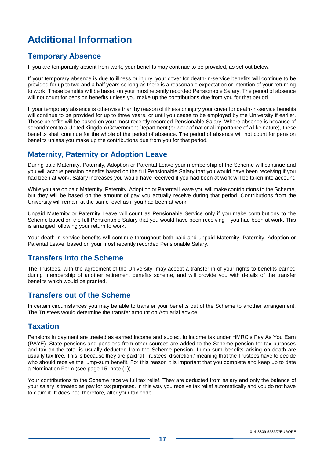# **Additional Information**

#### <span id="page-18-0"></span>**Temporary Absence**

If you are temporarily absent from work, your benefits may continue to be provided, as set out below.

If your temporary absence is due to illness or injury, your cover for death-in-service benefits will continue to be provided for up to two and a half years so long as there is a reasonable expectation or intention of your returning to work. These benefits will be based on your most recently recorded Pensionable Salary. The period of absence will not count for pension benefits unless you make up the contributions due from you for that period.

If your temporary absence is otherwise than by reason of illness or injury your cover for death-in-service benefits will continue to be provided for up to three years, or until you cease to be employed by the University if earlier. These benefits will be based on your most recently recorded Pensionable Salary. Where absence is because of secondment to a United Kingdom Government Department (or work of national importance of a like nature), these benefits shall continue for the whole of the period of absence. The period of absence will not count for pension benefits unless you make up the contributions due from you for that period.

#### <span id="page-18-1"></span>**Maternity, Paternity or Adoption Leave**

During paid Maternity, Paternity, Adoption or Parental Leave your membership of the Scheme will continue and you will accrue pension benefits based on the full Pensionable Salary that you would have been receiving if you had been at work. Salary increases you would have received if you had been at work will be taken into account.

While you are on paid Maternity, Paternity, Adoption or Parental Leave you will make contributions to the Scheme, but they will be based on the amount of pay you actually receive during that period. Contributions from the University will remain at the same level as if you had been at work.

Unpaid Maternity or Paternity Leave will count as Pensionable Service only if you make contributions to the Scheme based on the full Pensionable Salary that you would have been receiving if you had been at work. This is arranged following your return to work.

Your death-in-service benefits will continue throughout both paid and unpaid Maternity, Paternity, Adoption or Parental Leave, based on your most recently recorded Pensionable Salary.

#### <span id="page-18-2"></span>**Transfers into the Scheme**

The Trustees, with the agreement of the University, may accept a transfer in of your rights to benefits earned during membership of another retirement benefits scheme, and will provide you with details of the transfer benefits which would be granted.

#### <span id="page-18-3"></span>**Transfers out of the Scheme**

In certain circumstances you may be able to transfer your benefits out of the Scheme to another arrangement. The Trustees would determine the transfer amount on Actuarial advice.

#### **Taxation**

Pensions in payment are treated as earned income and subject to income tax under HMRC's Pay As You Earn (PAYE). State pensions and pensions from other sources are added to the Scheme pension for tax purposes and tax on the total is usually deducted from the Scheme pension. Lump-sum benefits arising on death are usually tax free. This is because they are paid 'at Trustees' discretion,' meaning that the Trustees have to decide who should receive the lump-sum benefit. For this reason it is important that you complete and keep up to date a Nomination Form (see page [15,](#page-16-1) note (1)).

Your contributions to the Scheme receive full tax relief. They are deducted from salary and only the balance of your salary is treated as pay for tax purposes. In this way you receive tax relief automatically and you do not have to claim it. It does not, therefore, alter your tax code.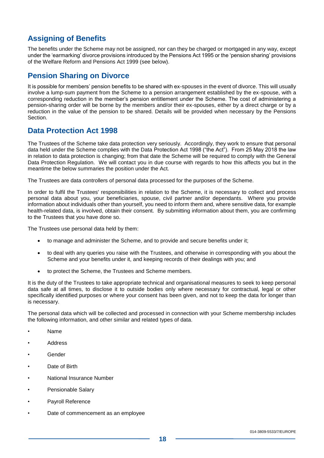#### **Assigning of Benefits**

The benefits under the Scheme may not be assigned, nor can they be charged or mortgaged in any way, except under the 'earmarking' divorce provisions introduced by the Pensions Act 1995 or the 'pension sharing' provisions of the Welfare Reform and Pensions Act 1999 (see below).

#### <span id="page-19-0"></span>**Pension Sharing on Divorce**

It is possible for members' pension benefits to be shared with ex-spouses in the event of divorce. This will usually involve a lump-sum payment from the Scheme to a pension arrangement established by the ex-spouse, with a corresponding reduction in the member's pension entitlement under the Scheme. The cost of administering a pension-sharing order will be borne by the members and/or their ex-spouses, either by a direct charge or by a reduction in the value of the pension to be shared. Details will be provided when necessary by the Pensions **Section** 

#### <span id="page-19-2"></span><span id="page-19-1"></span>**Data Protection Act 1998**

The Trustees of the Scheme take data protection very seriously. Accordingly, they work to ensure that personal data held under the Scheme complies with the Data Protection Act 1998 ("the Act"). From 25 May 2018 the law in relation to data protection is changing; from that date the Scheme will be required to comply with the General Data Protection Regulation. We will contact you in due course with regards to how this affects you but in the meantime the below summaries the position under the Act.

The Trustees are data controllers of personal data processed for the purposes of the Scheme.

In order to fulfil the Trustees' responsibilities in relation to the Scheme, it is necessary to collect and process personal data about you, your beneficiaries, spouse, civil partner and/or dependants. Where you provide information about individuals other than yourself, you need to inform them and, where sensitive data, for example health-related data, is involved, obtain their consent. By submitting information about them, you are confirming to the Trustees that you have done so.

The Trustees use personal data held by them:

- to manage and administer the Scheme, and to provide and secure benefits under it;
- to deal with any queries you raise with the Trustees, and otherwise in corresponding with you about the Scheme and your benefits under it, and keeping records of their dealings with you; and
- to protect the Scheme, the Trustees and Scheme members.

It is the duty of the Trustees to take appropriate technical and organisational measures to seek to keep personal data safe at all times, to disclose it to outside bodies only where necessary for contractual, legal or other specifically identified purposes or where your consent has been given, and not to keep the data for longer than is necessary.

The personal data which will be collected and processed in connection with your Scheme membership includes the following information, and other similar and related types of data.

- Name
- Address
- Gender
- Date of Birth
- National Insurance Number
- Pensionable Salary
- Payroll Reference
- Date of commencement as an employee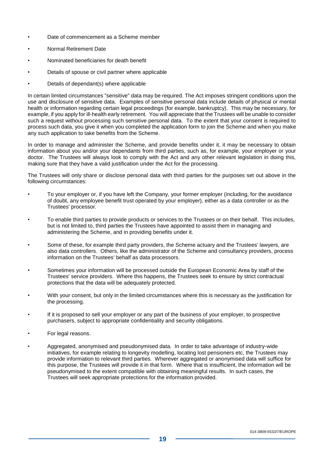- Date of commencement as a Scheme member
- Normal Retirement Date
- Nominated beneficiaries for death benefit
- Details of spouse or civil partner where applicable
- Details of dependant(s) where applicable

In certain limited circumstances "sensitive" data may be required. The Act imposes stringent conditions upon the use and disclosure of sensitive data. Examples of sensitive personal data include details of physical or mental health or information regarding certain legal proceedings (for example, bankruptcy). This may be necessary, for example, if you apply for ill-health early retirement. You will appreciate that the Trustees will be unable to consider such a request without processing such sensitive personal data. To the extent that your consent is required to process such data, you give it when you completed the application form to join the Scheme and when you make any such application to take benefits from the Scheme.

In order to manage and administer the Scheme, and provide benefits under it, it may be necessary to obtain information about you and/or your dependants from third parties, such as, for example, your employer or your doctor. The Trustees will always look to comply with the Act and any other relevant legislation in doing this, making sure that they have a valid justification under the Act for the processing.

The Trustees will only share or disclose personal data with third parties for the purposes set out above in the following circumstances:

- To your employer or, if you have left the Company, your former employer (including, for the avoidance of doubt, any employee benefit trust operated by your employer), either as a data controller or as the Trustees' processor.
- To enable third parties to provide products or services to the Trustees or on their behalf. This includes, but is not limited to, third parties the Trustees have appointed to assist them in managing and administering the Scheme, and in providing benefits under it.
- Some of these, for example third party providers, the Scheme actuary and the Trustees' lawyers, are also data controllers. Others, like the administrator of the Scheme and consultancy providers, process information on the Trustees' behalf as data processors.
- Sometimes your information will be processed outside the European Economic Area by staff of the Trustees' service providers. Where this happens, the Trustees seek to ensure by strict contractual protections that the data will be adequately protected.
- With your consent, but only in the limited circumstances where this is necessary as the justification for the processing.
- If it is proposed to sell your employer or any part of the business of your employer, to prospective purchasers, subject to appropriate confidentiality and security obligations.
- For legal reasons.
- Aggregated, anonymised and pseudonymised data. In order to take advantage of industry-wide initiatives, for example relating to longevity modelling, locating lost pensioners etc, the Trustees may provide information to relevant third parties. Wherever aggregated or anonymised data will suffice for this purpose, the Trustees will provide it in that form. Where that is insufficient, the information will be pseudonymised to the extent compatible with obtaining meaningful results. In such cases, the Trustees will seek appropriate protections for the information provided.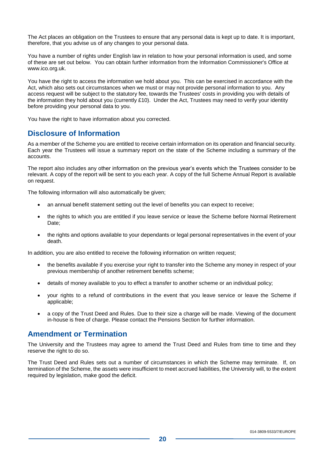The Act places an obligation on the Trustees to ensure that any personal data is kept up to date. It is important, therefore, that you advise us of any changes to your personal data.

You have a number of rights under English law in relation to how your personal information is used, and some of these are set out below. You can obtain further information from the Information Commissioner's Office at www.ico.org.uk.

You have the right to access the information we hold about you. This can be exercised in accordance with the Act, which also sets out circumstances when we must or may not provide personal information to you. Any access request will be subject to the statutory fee, towards the Trustees' costs in providing you with details of the information they hold about you (currently £10). Under the Act, Trustees may need to verify your identity before providing your personal data to you.

You have the right to have information about you corrected.

#### **Disclosure of Information**

As a member of the Scheme you are entitled to receive certain information on its operation and financial security. Each year the Trustees will issue a summary report on the state of the Scheme including a summary of the accounts.

The report also includes any other information on the previous year's events which the Trustees consider to be relevant. A copy of the report will be sent to you each year. A copy of the full Scheme Annual Report is available on request.

The following information will also automatically be given;

- an annual benefit statement setting out the level of benefits you can expect to receive;
- the rights to which you are entitled if you leave service or leave the Scheme before Normal Retirement Date;
- the rights and options available to your dependants or legal personal representatives in the event of your death.

In addition, you are also entitled to receive the following information on written request;

- the benefits available if you exercise your right to transfer into the Scheme any money in respect of your previous membership of another retirement benefits scheme;
- details of money available to you to effect a transfer to another scheme or an individual policy;
- your rights to a refund of contributions in the event that you leave service or leave the Scheme if applicable;
- a copy of the Trust Deed and Rules. Due to their size a charge will be made. Viewing of the document in-house is free of charge. Please contact the Pensions Section for further information.

#### <span id="page-21-0"></span>**Amendment or Termination**

The University and the Trustees may agree to amend the Trust Deed and Rules from time to time and they reserve the right to do so.

The Trust Deed and Rules sets out a number of circumstances in which the Scheme may terminate. If, on termination of the Scheme, the assets were insufficient to meet accrued liabilities, the University will, to the extent required by legislation, make good the deficit.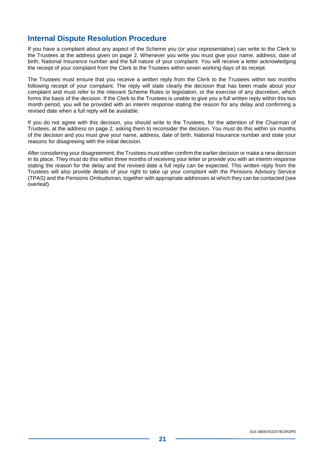#### <span id="page-22-0"></span>**Internal Dispute Resolution Procedure**

If you have a complaint about any aspect of the Scheme you (or your representative) can write to the Clerk to the Trustees at the address given on page [2.](#page-3-0) Whenever you write you must give your name, address, date of birth, National Insurance number and the full nature of your complaint. You will receive a letter acknowledging the receipt of your complaint from the Clerk to the Trustees within seven working days of its receipt.

The Trustees must ensure that you receive a written reply from the Clerk to the Trustees within two months following receipt of your complaint. The reply will state clearly the decision that has been made about your complaint and must refer to the relevant Scheme Rules or legislation, or the exercise of any discretion, which forms the basis of the decision. If the Clerk to the Trustees is unable to give you a full written reply within this two month period, you will be provided with an interim response stating the reason for any delay and confirming a revised date when a full reply will be available.

If you do not agree with this decision, you should write to the Trustees, for the attention of the Chairman of Trustees, at the address on page 2, asking them to reconsider the decision. You must do this within six months of the decision and you must give your name, address, date of birth, National Insurance number and state your reasons for disagreeing with the initial decision.

After considering your disagreement, the Trustees must either confirm the earlier decision or make a new decision in its place. They must do this within three months of receiving your letter or provide you with an interim response stating the reason for the delay and the revised date a full reply can be expected. This written reply from the Trustees will also provide details of your right to take up your complaint with the Pensions Advisory Service (TPAS) and the Pensions Ombudsman, together with appropriate addresses at which they can be contacted (see overleaf).